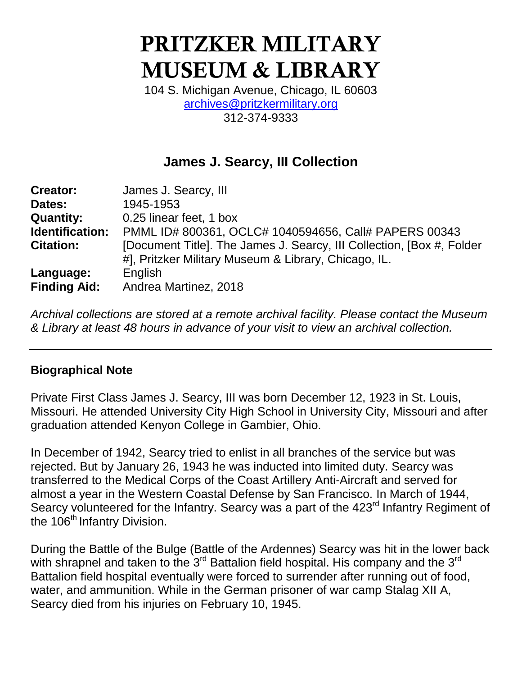# **PRITZKER MILITARY MUSEUM & LIBRARY**

104 S. Michigan Avenue, Chicago, IL 60603 [archives@pritzkermilitary.org](mailto:archives@pritzkermilitary.org) 312-374-9333

# **James J. Searcy, III Collection**

| Creator:            | James J. Searcy, III                                                   |
|---------------------|------------------------------------------------------------------------|
| Dates:              | 1945-1953                                                              |
| <b>Quantity:</b>    | 0.25 linear feet, 1 box                                                |
| Identification:     | PMML ID# 800361, OCLC# 1040594656, Call# PAPERS 00343                  |
| <b>Citation:</b>    | [Document Title]. The James J. Searcy, III Collection, [Box #, Folder] |
|                     | #], Pritzker Military Museum & Library, Chicago, IL.                   |
| Language:           | English                                                                |
| <b>Finding Aid:</b> | Andrea Martinez, 2018                                                  |

*Archival collections are stored at a remote archival facility. Please contact the Museum & Library at least 48 hours in advance of your visit to view an archival collection.*

### **Biographical Note**

Private First Class James J. Searcy, III was born December 12, 1923 in St. Louis, Missouri. He attended University City High School in University City, Missouri and after graduation attended Kenyon College in Gambier, Ohio.

In December of 1942, Searcy tried to enlist in all branches of the service but was rejected. But by January 26, 1943 he was inducted into limited duty. Searcy was transferred to the Medical Corps of the Coast Artillery Anti-Aircraft and served for almost a year in the Western Coastal Defense by San Francisco. In March of 1944, Searcy volunteered for the Infantry. Searcy was a part of the 423<sup>rd</sup> Infantry Regiment of the 106<sup>th</sup> Infantry Division.

During the Battle of the Bulge (Battle of the Ardennes) Searcy was hit in the lower back with shrapnel and taken to the 3<sup>rd</sup> Battalion field hospital. His company and the 3<sup>rd</sup> Battalion field hospital eventually were forced to surrender after running out of food, water, and ammunition. While in the German prisoner of war camp Stalag XII A, Searcy died from his injuries on February 10, 1945.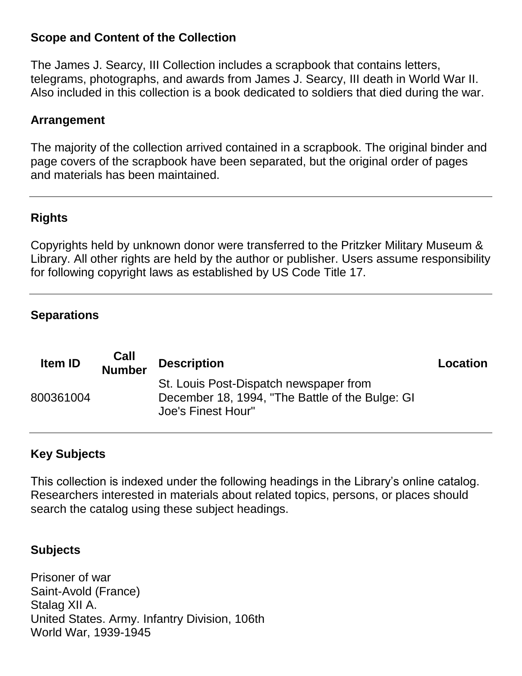#### **Scope and Content of the Collection**

The James J. Searcy, III Collection includes a scrapbook that contains letters, telegrams, photographs, and awards from James J. Searcy, III death in World War II. Also included in this collection is a book dedicated to soldiers that died during the war.

#### **Arrangement**

The majority of the collection arrived contained in a scrapbook. The original binder and page covers of the scrapbook have been separated, but the original order of pages and materials has been maintained.

## **Rights**

Copyrights held by unknown donor were transferred to the Pritzker Military Museum & Library. All other rights are held by the author or publisher. Users assume responsibility for following copyright laws as established by US Code Title 17.

#### **Separations**

| <b>Item ID</b> | Call<br><b>Number</b> | <b>Description</b>                                                                                              | Location |
|----------------|-----------------------|-----------------------------------------------------------------------------------------------------------------|----------|
| 800361004      |                       | St. Louis Post-Dispatch newspaper from<br>December 18, 1994, "The Battle of the Bulge: GI<br>Joe's Finest Hour" |          |

### **Key Subjects**

This collection is indexed under the following headings in the Library's online catalog. Researchers interested in materials about related topics, persons, or places should search the catalog using these subject headings.

### **Subjects**

Prisoner of war Saint-Avold (France) Stalag XII A. United States. Army. Infantry Division, 106th World War, 1939-1945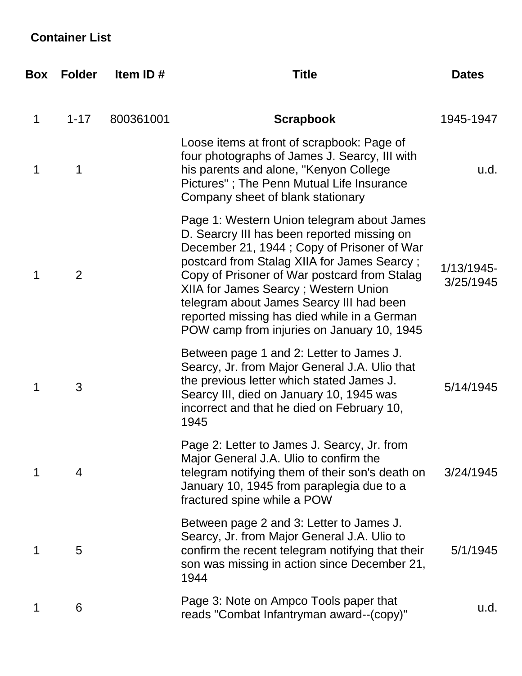# **Container List**

| Box | <b>Folder</b> | Item ID#  | <b>Title</b>                                                                                                                                                                                                                                                                                                                                                                                                            | <b>Dates</b>            |
|-----|---------------|-----------|-------------------------------------------------------------------------------------------------------------------------------------------------------------------------------------------------------------------------------------------------------------------------------------------------------------------------------------------------------------------------------------------------------------------------|-------------------------|
| 1   | $1 - 17$      | 800361001 | <b>Scrapbook</b>                                                                                                                                                                                                                                                                                                                                                                                                        | 1945-1947               |
| 1   | 1             |           | Loose items at front of scrapbook: Page of<br>four photographs of James J. Searcy, III with<br>his parents and alone, "Kenyon College<br>Pictures"; The Penn Mutual Life Insurance<br>Company sheet of blank stationary                                                                                                                                                                                                 | u.d.                    |
| 1   | 2             |           | Page 1: Western Union telegram about James<br>D. Searcry III has been reported missing on<br>December 21, 1944; Copy of Prisoner of War<br>postcard from Stalag XIIA for James Searcy;<br>Copy of Prisoner of War postcard from Stalag<br>XIIA for James Searcy; Western Union<br>telegram about James Searcy III had been<br>reported missing has died while in a German<br>POW camp from injuries on January 10, 1945 | 1/13/1945-<br>3/25/1945 |
| 1   | 3             |           | Between page 1 and 2: Letter to James J.<br>Searcy, Jr. from Major General J.A. Ulio that<br>the previous letter which stated James J.<br>Searcy III, died on January 10, 1945 was<br>incorrect and that he died on February 10,<br>1945                                                                                                                                                                                | 5/14/1945               |
| 1   | 4             |           | Page 2: Letter to James J. Searcy, Jr. from<br>Major General J.A. Ulio to confirm the<br>telegram notifying them of their son's death on<br>January 10, 1945 from paraplegia due to a<br>fractured spine while a POW                                                                                                                                                                                                    | 3/24/1945               |
| 1   | 5             |           | Between page 2 and 3: Letter to James J.<br>Searcy, Jr. from Major General J.A. Ulio to<br>confirm the recent telegram notifying that their<br>son was missing in action since December 21,<br>1944                                                                                                                                                                                                                     | 5/1/1945                |
| 1   | 6             |           | Page 3: Note on Ampco Tools paper that<br>reads "Combat Infantryman award--(copy)"                                                                                                                                                                                                                                                                                                                                      | u.d.                    |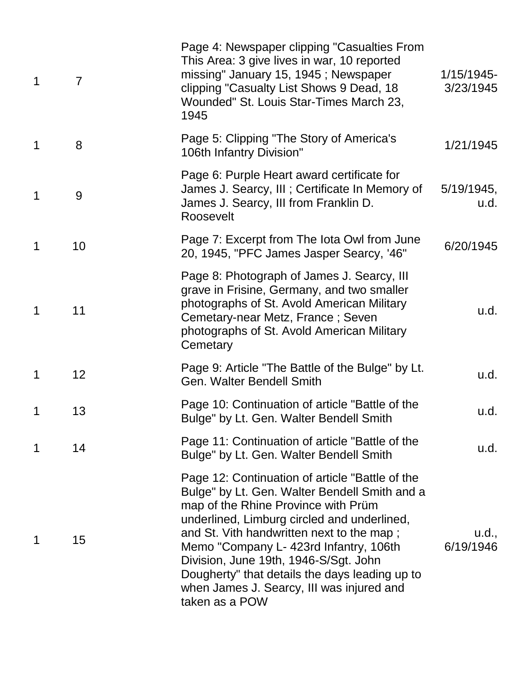| $\mathbf 1$ | $\overline{7}$ | Page 4: Newspaper clipping "Casualties From<br>This Area: 3 give lives in war, 10 reported<br>missing" January 15, 1945; Newspaper<br>clipping "Casualty List Shows 9 Dead, 18<br>Wounded" St. Louis Star-Times March 23,<br>1945                                                                                                                                                                                                       | 1/15/1945-<br>3/23/1945 |
|-------------|----------------|-----------------------------------------------------------------------------------------------------------------------------------------------------------------------------------------------------------------------------------------------------------------------------------------------------------------------------------------------------------------------------------------------------------------------------------------|-------------------------|
| $\mathbf 1$ | 8              | Page 5: Clipping "The Story of America's<br>106th Infantry Division"                                                                                                                                                                                                                                                                                                                                                                    | 1/21/1945               |
| $\mathbf 1$ | 9              | Page 6: Purple Heart award certificate for<br>James J. Searcy, III; Certificate In Memory of<br>James J. Searcy, III from Franklin D.<br>Roosevelt                                                                                                                                                                                                                                                                                      | $5/19/1945$ ,<br>u.d.   |
| $\mathbf 1$ | 10             | Page 7: Excerpt from The lota Owl from June<br>20, 1945, "PFC James Jasper Searcy, '46"                                                                                                                                                                                                                                                                                                                                                 | 6/20/1945               |
| $\mathbf 1$ | 11             | Page 8: Photograph of James J. Searcy, III<br>grave in Frisine, Germany, and two smaller<br>photographs of St. Avold American Military<br>Cemetary-near Metz, France; Seven<br>photographs of St. Avold American Military<br>Cemetary                                                                                                                                                                                                   | u.d.                    |
| $\mathbf 1$ | 12             | Page 9: Article "The Battle of the Bulge" by Lt.<br><b>Gen. Walter Bendell Smith</b>                                                                                                                                                                                                                                                                                                                                                    | u.d.                    |
| 1           | 13             | Page 10: Continuation of article "Battle of the<br>Bulge" by Lt. Gen. Walter Bendell Smith                                                                                                                                                                                                                                                                                                                                              | u.d.                    |
| 1           | 14             | Page 11: Continuation of article "Battle of the<br>Bulge" by Lt. Gen. Walter Bendell Smith                                                                                                                                                                                                                                                                                                                                              | u.d.                    |
| 1           | 15             | Page 12: Continuation of article "Battle of the<br>Bulge" by Lt. Gen. Walter Bendell Smith and a<br>map of the Rhine Province with Prüm<br>underlined, Limburg circled and underlined,<br>and St. Vith handwritten next to the map;<br>Memo "Company L- 423rd Infantry, 106th<br>Division, June 19th, 1946-S/Sgt. John<br>Dougherty" that details the days leading up to<br>when James J. Searcy, III was injured and<br>taken as a POW | u.d.,<br>6/19/1946      |